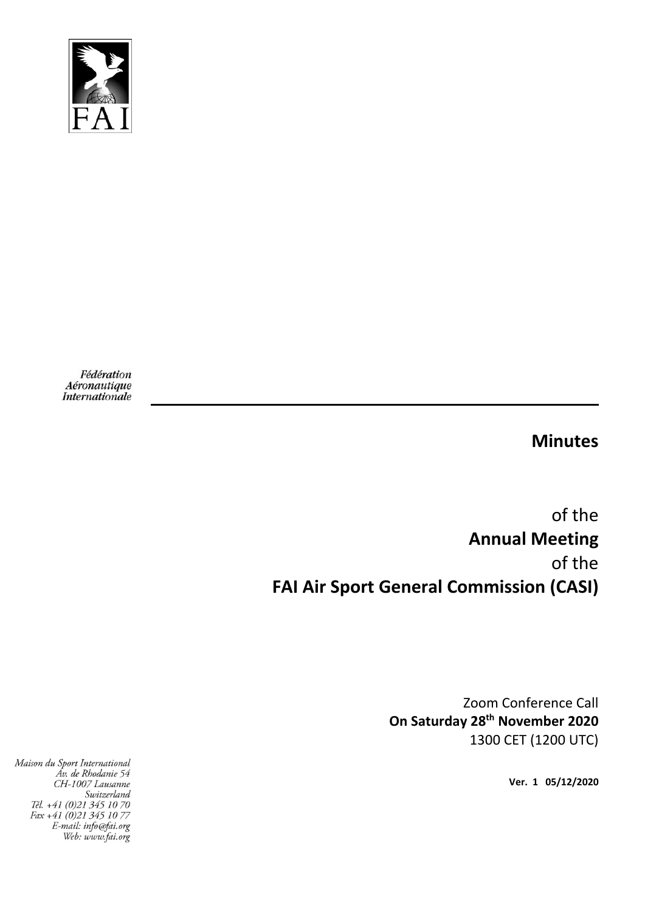

Fédération Aéronautique Internationale

**Minutes** 

of the **Annual Meeting**  of the **FAI Air Sport General Commission (CASI)** 

> Zoom Conference Call **On Saturday 28th November 2020**  1300 CET (1200 UTC)

> > **Ver. 1 05/12/2020**

Maison du Sport International Av. de Rhodanie 54 CH-1007 Lausanne Suitzerland<br>Switzerland<br>Tél. +41 (0)21 345 10 70 Fax +41 (0)21 345 10 77<br>E-mail: info@fai.org Web: www.fai.org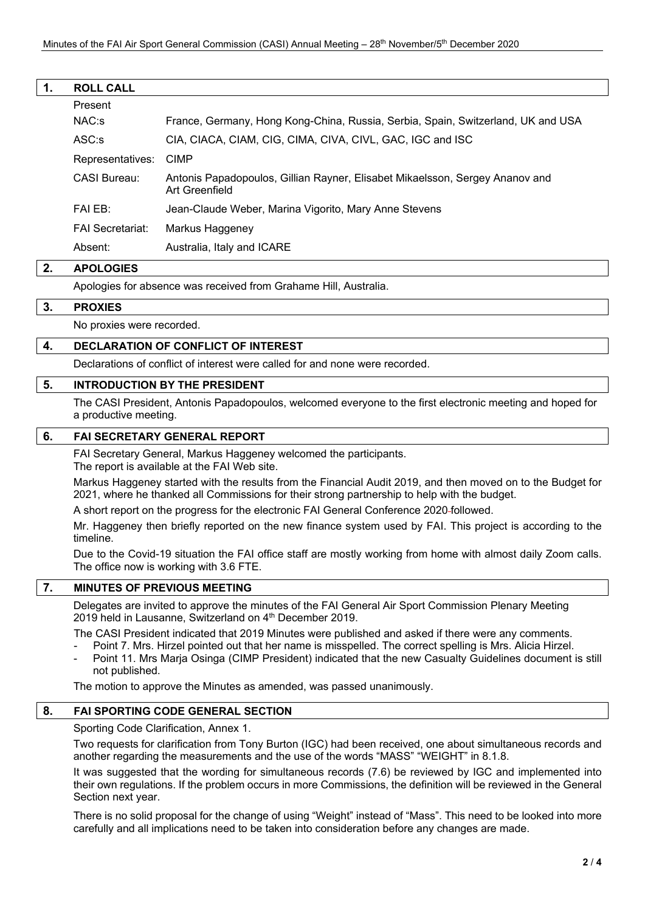| 1. | <b>ROLL CALL</b>        |                                                                                                |
|----|-------------------------|------------------------------------------------------------------------------------------------|
|    | Present                 |                                                                                                |
|    | $NAC:$ s                | France, Germany, Hong Kong-China, Russia, Serbia, Spain, Switzerland, UK and USA               |
|    | $ASC:$ s                | CIA, CIACA, CIAM, CIG, CIMA, CIVA, CIVL, GAC, IGC and ISC                                      |
|    | Representatives:        | <b>CIMP</b>                                                                                    |
|    | CASI Bureau:            | Antonis Papadopoulos, Gillian Rayner, Elisabet Mikaelsson, Sergey Ananov and<br>Art Greenfield |
|    | FAI EB:                 | Jean-Claude Weber, Marina Vigorito, Mary Anne Stevens                                          |
|    | <b>FAI Secretariat:</b> | Markus Haggeney                                                                                |
|    | Absent:                 | Australia, Italy and ICARE                                                                     |

## **2. APOLOGIES**

Apologies for absence was received from Grahame Hill, Australia.

#### **3. PROXIES**

No proxies were recorded.

### **4. DECLARATION OF CONFLICT OF INTEREST**

Declarations of conflict of interest were called for and none were recorded.

### **5. INTRODUCTION BY THE PRESIDENT**

The CASI President, Antonis Papadopoulos, welcomed everyone to the first electronic meeting and hoped for a productive meeting.

#### **6. FAI SECRETARY GENERAL REPORT**

FAI Secretary General, Markus Haggeney welcomed the participants.

The report is available at the FAI Web site.

Markus Haggeney started with the results from the Financial Audit 2019, and then moved on to the Budget for 2021, where he thanked all Commissions for their strong partnership to help with the budget.

A short report on the progress for the electronic FAI General Conference 2020 followed.

Mr. Haggeney then briefly reported on the new finance system used by FAI. This project is according to the timeline.

Due to the Covid-19 situation the FAI office staff are mostly working from home with almost daily Zoom calls. The office now is working with 3.6 FTE.

# **7. MINUTES OF PREVIOUS MEETING**

Delegates are invited to approve the minutes of the FAI General Air Sport Commission Plenary Meeting 2019 held in Lausanne, Switzerland on 4<sup>th</sup> December 2019.

The CASI President indicated that 2019 Minutes were published and asked if there were any comments.

- Point 7. Mrs. Hirzel pointed out that her name is misspelled. The correct spelling is Mrs. Alicia Hirzel.
- Point 11. Mrs Marja Osinga (CIMP President) indicated that the new Casualty Guidelines document is still not published.

The motion to approve the Minutes as amended, was passed unanimously.

# **8. FAI SPORTING CODE GENERAL SECTION**

Sporting Code Clarification, Annex 1.

Two requests for clarification from Tony Burton (IGC) had been received, one about simultaneous records and another regarding the measurements and the use of the words "MASS" "WEIGHT" in 8.1.8.

It was suggested that the wording for simultaneous records (7.6) be reviewed by IGC and implemented into their own regulations. If the problem occurs in more Commissions, the definition will be reviewed in the General Section next year.

There is no solid proposal for the change of using "Weight" instead of "Mass". This need to be looked into more carefully and all implications need to be taken into consideration before any changes are made.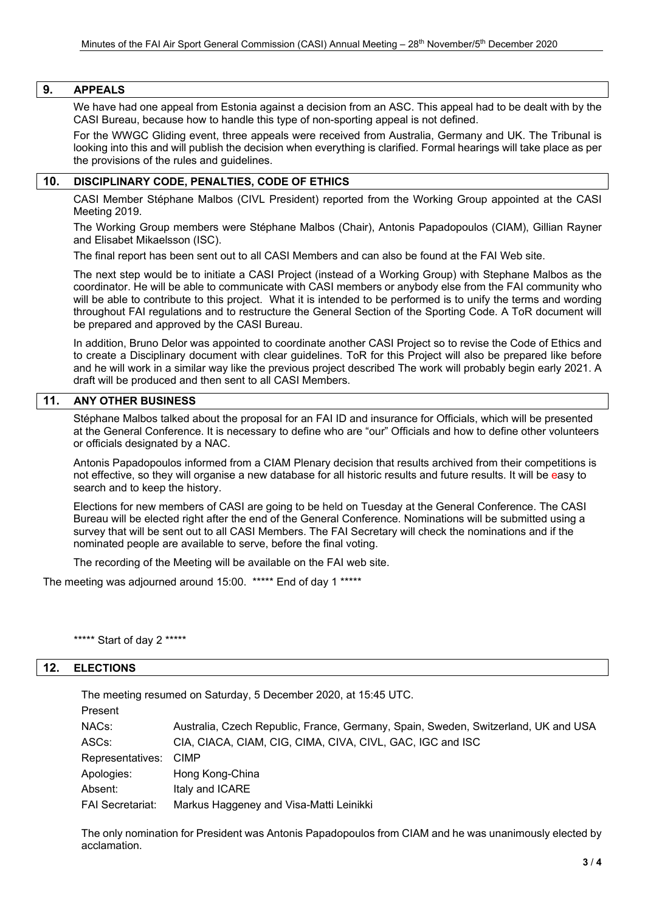## **9. APPEALS**

We have had one appeal from Estonia against a decision from an ASC. This appeal had to be dealt with by the CASI Bureau, because how to handle this type of non-sporting appeal is not defined.

For the WWGC Gliding event, three appeals were received from Australia, Germany and UK. The Tribunal is looking into this and will publish the decision when everything is clarified. Formal hearings will take place as per the provisions of the rules and guidelines.

# **10. DISCIPLINARY CODE, PENALTIES, CODE OF ETHICS**

CASI Member Stéphane Malbos (CIVL President) reported from the Working Group appointed at the CASI Meeting 2019.

The Working Group members were Stéphane Malbos (Chair), Antonis Papadopoulos (CIAM), Gillian Rayner and Elisabet Mikaelsson (ISC).

The final report has been sent out to all CASI Members and can also be found at the FAI Web site.

The next step would be to initiate a CASI Project (instead of a Working Group) with Stephane Malbos as the coordinator. He will be able to communicate with CASI members or anybody else from the FAI community who will be able to contribute to this project. What it is intended to be performed is to unify the terms and wording throughout FAI regulations and to restructure the General Section of the Sporting Code. A ToR document will be prepared and approved by the CASI Bureau.

In addition, Bruno Delor was appointed to coordinate another CASI Project so to revise the Code of Ethics and to create a Disciplinary document with clear guidelines. ToR for this Project will also be prepared like before and he will work in a similar way like the previous project described The work will probably begin early 2021. A draft will be produced and then sent to all CASI Members.

## **11. ANY OTHER BUSINESS**

Stéphane Malbos talked about the proposal for an FAI ID and insurance for Officials, which will be presented at the General Conference. It is necessary to define who are "our" Officials and how to define other volunteers or officials designated by a NAC.

Antonis Papadopoulos informed from a CIAM Plenary decision that results archived from their competitions is not effective, so they will organise a new database for all historic results and future results. It will be easy to search and to keep the history.

Elections for new members of CASI are going to be held on Tuesday at the General Conference. The CASI Bureau will be elected right after the end of the General Conference. Nominations will be submitted using a survey that will be sent out to all CASI Members. The FAI Secretary will check the nominations and if the nominated people are available to serve, before the final voting.

The recording of the Meeting will be available on the FAI web site.

The meeting was adjourned around 15:00. \*\*\*\*\* End of day 1 \*\*\*\*\*

\*\*\*\*\* Start of day 2 \*\*\*\*\*

## **12. ELECTIONS**

The meeting resumed on Saturday, 5 December 2020, at 15:45 UTC.

| Present                 |                                                                                    |
|-------------------------|------------------------------------------------------------------------------------|
| NACs:                   | Australia, Czech Republic, France, Germany, Spain, Sweden, Switzerland, UK and USA |
| ASCs:                   | CIA, CIACA, CIAM, CIG, CIMA, CIVA, CIVL, GAC, IGC and ISC                          |
| Representatives:        | <b>CIMP</b>                                                                        |
| Apologies:              | Hong Kong-China                                                                    |
| Absent:                 | Italy and ICARE                                                                    |
| <b>FAI Secretariat:</b> | Markus Haggeney and Visa-Matti Leinikki                                            |

The only nomination for President was Antonis Papadopoulos from CIAM and he was unanimously elected by acclamation.